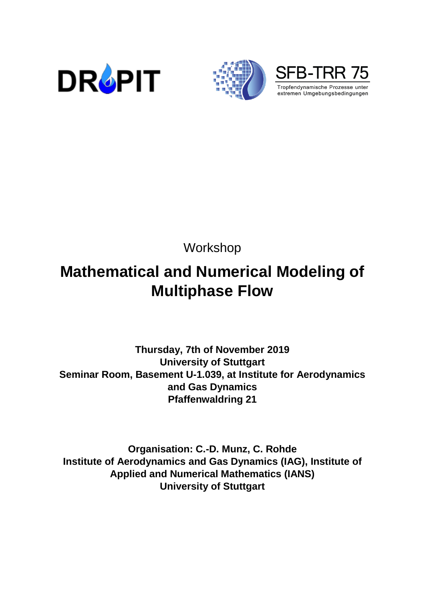





Tropfendynamische Prozesse unter extremen Umgebungsbedingungen

Workshop

# **Mathematical and Numerical Modeling of Multiphase Flow**

**Thursday, 7th of November 2019 University of Stuttgart Seminar Room, Basement U-1.039, at Institute for Aerodynamics and Gas Dynamics Pfaffenwaldring 21**

**Organisation: C.-D. Munz, C. Rohde Institute of Aerodynamics and Gas Dynamics (IAG), Institute of Applied and Numerical Mathematics (IANS) University of Stuttgart**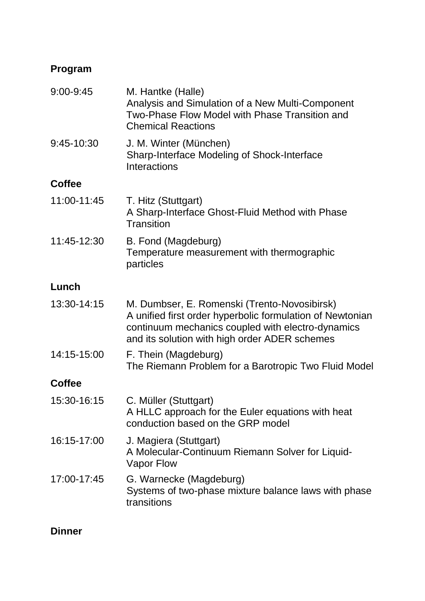# **Program**

| 9:00-9:45     | M. Hantke (Halle)<br>Analysis and Simulation of a New Multi-Component<br>Two-Phase Flow Model with Phase Transition and<br><b>Chemical Reactions</b>                                                            |
|---------------|-----------------------------------------------------------------------------------------------------------------------------------------------------------------------------------------------------------------|
| 9:45-10:30    | J. M. Winter (München)<br><b>Sharp-Interface Modeling of Shock-Interface</b><br><b>Interactions</b>                                                                                                             |
| <b>Coffee</b> |                                                                                                                                                                                                                 |
| 11:00-11:45   | T. Hitz (Stuttgart)<br>A Sharp-Interface Ghost-Fluid Method with Phase<br><b>Transition</b>                                                                                                                     |
| 11:45-12:30   | B. Fond (Magdeburg)<br>Temperature measurement with thermographic<br>particles                                                                                                                                  |
| Lunch         |                                                                                                                                                                                                                 |
| 13:30-14:15   | M. Dumbser, E. Romenski (Trento-Novosibirsk)<br>A unified first order hyperbolic formulation of Newtonian<br>continuum mechanics coupled with electro-dynamics<br>and its solution with high order ADER schemes |
| 14:15-15:00   | F. Thein (Magdeburg)<br>The Riemann Problem for a Barotropic Two Fluid Model                                                                                                                                    |
| <b>Coffee</b> |                                                                                                                                                                                                                 |
| 15:30-16:15   | C. Müller (Stuttgart)<br>A HLLC approach for the Euler equations with heat<br>conduction based on the GRP model                                                                                                 |
| 16:15-17:00   | J. Magiera (Stuttgart)<br>A Molecular-Continuum Riemann Solver for Liquid-<br><b>Vapor Flow</b>                                                                                                                 |
| 17:00-17:45   | G. Warnecke (Magdeburg)<br>Systems of two-phase mixture balance laws with phase<br>transitions                                                                                                                  |
|               |                                                                                                                                                                                                                 |

# **Dinner**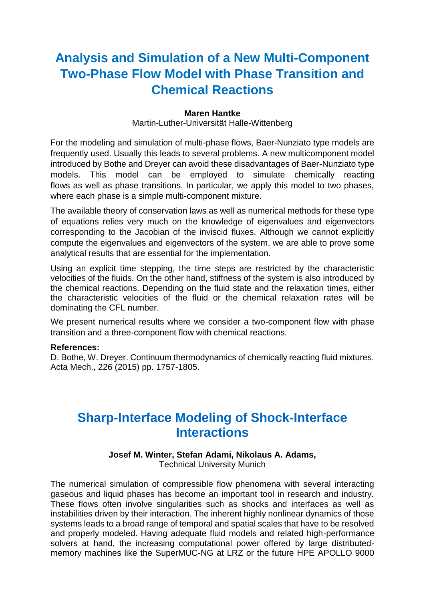# **Analysis and Simulation of a New Multi-Component Two-Phase Flow Model with Phase Transition and Chemical Reactions**

#### **Maren Hantke**

Martin-Luther-Universität Halle-Wittenberg

For the modeling and simulation of multi-phase flows, Baer-Nunziato type models are frequently used. Usually this leads to several problems. A new multicomponent model introduced by Bothe and Dreyer can avoid these disadvantages of Baer-Nunziato type models. This model can be employed to simulate chemically reacting flows as well as phase transitions. In particular, we apply this model to two phases, where each phase is a simple multi-component mixture.

The available theory of conservation laws as well as numerical methods for these type of equations relies very much on the knowledge of eigenvalues and eigenvectors corresponding to the Jacobian of the inviscid fluxes. Although we cannot explicitly compute the eigenvalues and eigenvectors of the system, we are able to prove some analytical results that are essential for the implementation.

Using an explicit time stepping, the time steps are restricted by the characteristic velocities of the fluids. On the other hand, stiffness of the system is also introduced by the chemical reactions. Depending on the fluid state and the relaxation times, either the characteristic velocities of the fluid or the chemical relaxation rates will be dominating the CFL number.

We present numerical results where we consider a two-component flow with phase transition and a three-component flow with chemical reactions.

#### **References:**

D. Bothe, W. Dreyer. Continuum thermodynamics of chemically reacting fluid mixtures. Acta Mech., 226 (2015) pp. 1757-1805.

### **Sharp-Interface Modeling of Shock-Interface Interactions**

### **Josef M. Winter, Stefan Adami, Nikolaus A. Adams,**

Technical University Munich

The numerical simulation of compressible flow phenomena with several interacting gaseous and liquid phases has become an important tool in research and industry. These flows often involve singularities such as shocks and interfaces as well as instabilities driven by their interaction. The inherent highly nonlinear dynamics of those systems leads to a broad range of temporal and spatial scales that have to be resolved and properly modeled. Having adequate fluid models and related high-performance solvers at hand, the increasing computational power offered by large distributedmemory machines like the SuperMUC-NG at LRZ or the future HPE APOLLO 9000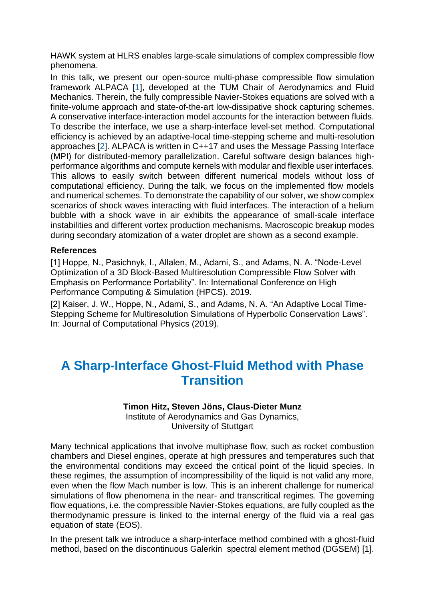HAWK system at HLRS enables large-scale simulations of complex compressible flow phenomena.

In this talk, we present our open-source multi-phase compressible flow simulation framework ALPACA [1], developed at the TUM Chair of Aerodynamics and Fluid Mechanics. Therein, the fully compressible Navier-Stokes equations are solved with a finite-volume approach and state-of-the-art low-dissipative shock capturing schemes. A conservative interface-interaction model accounts for the interaction between fluids. To describe the interface, we use a sharp-interface level-set method. Computational efficiency is achieved by an adaptive-local time-stepping scheme and multi-resolution approaches [2]. ALPACA is written in C++17 and uses the Message Passing Interface (MPI) for distributed-memory parallelization. Careful software design balances highperformance algorithms and compute kernels with modular and flexible user interfaces. This allows to easily switch between different numerical models without loss of computational efficiency. During the talk, we focus on the implemented flow models and numerical schemes. To demonstrate the capability of our solver, we show complex scenarios of shock waves interacting with fluid interfaces. The interaction of a helium bubble with a shock wave in air exhibits the appearance of small-scale interface instabilities and different vortex production mechanisms. Macroscopic breakup modes during secondary atomization of a water droplet are shown as a second example.

#### **References**

[1] Hoppe, N., Pasichnyk, I., Allalen, M., Adami, S., and Adams, N. A. "Node-Level Optimization of a 3D Block-Based Multiresolution Compressible Flow Solver with Emphasis on Performance Portability". In: International Conference on High Performance Computing & Simulation (HPCS). 2019.

[2] Kaiser, J. W., Hoppe, N., Adami, S., and Adams, N. A. "An Adaptive Local Time-Stepping Scheme for Multiresolution Simulations of Hyperbolic Conservation Laws". In: Journal of Computational Physics (2019).

# **A Sharp-Interface Ghost-Fluid Method with Phase Transition**

### **Timon Hitz, Steven Jöns, Claus-Dieter Munz**

Institute of Aerodynamics and Gas Dynamics, University of Stuttgart

Many technical applications that involve multiphase flow, such as rocket combustion chambers and Diesel engines, operate at high pressures and temperatures such that the environmental conditions may exceed the critical point of the liquid species. In these regimes, the assumption of incompressibility of the liquid is not valid any more, even when the flow Mach number is low. This is an inherent challenge for numerical simulations of flow phenomena in the near- and transcritical regimes. The governing flow equations, i.e. the compressible Navier-Stokes equations, are fully coupled as the thermodynamic pressure is linked to the internal energy of the fluid via a real gas equation of state (EOS).

In the present talk we introduce a sharp-interface method combined with a ghost-fluid method, based on the discontinuous Galerkin spectral element method (DGSEM) [1].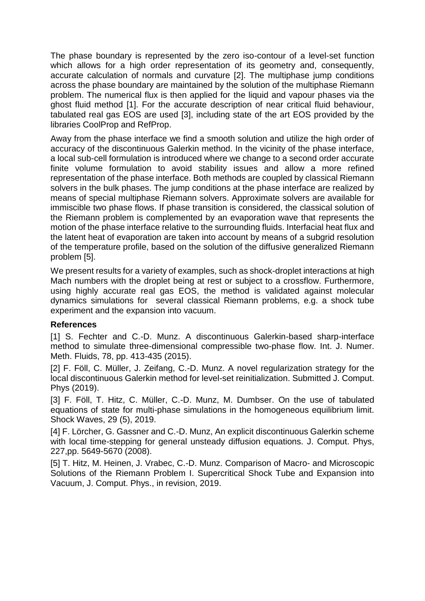The phase boundary is represented by the zero iso-contour of a level-set function which allows for a high order representation of its geometry and, consequently, accurate calculation of normals and curvature [2]. The multiphase jump conditions across the phase boundary are maintained by the solution of the multiphase Riemann problem. The numerical flux is then applied for the liquid and vapour phases via the ghost fluid method [1]. For the accurate description of near critical fluid behaviour, tabulated real gas EOS are used [3], including state of the art EOS provided by the libraries CoolProp and RefProp.

Away from the phase interface we find a smooth solution and utilize the high order of accuracy of the discontinuous Galerkin method. In the vicinity of the phase interface, a local sub-cell formulation is introduced where we change to a second order accurate finite volume formulation to avoid stability issues and allow a more refined representation of the phase interface. Both methods are coupled by classical Riemann solvers in the bulk phases. The jump conditions at the phase interface are realized by means of special multiphase Riemann solvers. Approximate solvers are available for immiscible two phase flows. If phase transition is considered, the classical solution of the Riemann problem is complemented by an evaporation wave that represents the motion of the phase interface relative to the surrounding fluids. Interfacial heat flux and the latent heat of evaporation are taken into account by means of a subgrid resolution of the temperature profile, based on the solution of the diffusive generalized Riemann problem [5].

We present results for a variety of examples, such as shock-droplet interactions at high Mach numbers with the droplet being at rest or subject to a crossflow. Furthermore, using highly accurate real gas EOS, the method is validated against molecular dynamics simulations for several classical Riemann problems, e.g. a shock tube experiment and the expansion into vacuum.

#### **References**

[1] S. Fechter and C.-D. Munz. A discontinuous Galerkin-based sharp-interface method to simulate three-dimensional compressible two-phase flow. Int. J. Numer. Meth. Fluids, 78, pp. 413-435 (2015).

[2] F. Föll, C. Müller, J. Zeifang, C.-D. Munz. A novel regularization strategy for the local discontinuous Galerkin method for level-set reinitialization. Submitted J. Comput. Phys (2019).

[3] F. Föll, T. Hitz, C. Müller, C.-D. Munz, M. Dumbser. On the use of tabulated equations of state for multi-phase simulations in the homogeneous equilibrium limit. Shock Waves, 29 (5), 2019.

[4] F. Lörcher, G. Gassner and C.-D. Munz, An explicit discontinuous Galerkin scheme with local time-stepping for general unsteady diffusion equations. J. Comput. Phys, 227,pp. 5649-5670 (2008).

[5] T. Hitz, M. Heinen, J. Vrabec, C.-D. Munz. Comparison of Macro- and Microscopic Solutions of the Riemann Problem I. Supercritical Shock Tube and Expansion into Vacuum, J. Comput. Phys., in revision, 2019.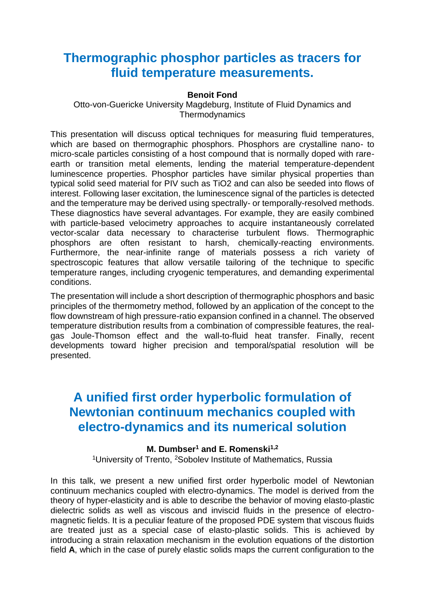### **Thermographic phosphor particles as tracers for fluid temperature measurements.**

#### **Benoit Fond**

Otto-von-Guericke University Magdeburg, Institute of Fluid Dynamics and **Thermodynamics** 

This presentation will discuss optical techniques for measuring fluid temperatures, which are based on thermographic phosphors. Phosphors are crystalline nano- to micro-scale particles consisting of a host compound that is normally doped with rareearth or transition metal elements, lending the material temperature-dependent luminescence properties. Phosphor particles have similar physical properties than typical solid seed material for PIV such as TiO2 and can also be seeded into flows of interest. Following laser excitation, the luminescence signal of the particles is detected and the temperature may be derived using spectrally- or temporally-resolved methods. These diagnostics have several advantages. For example, they are easily combined with particle-based velocimetry approaches to acquire instantaneously correlated vector-scalar data necessary to characterise turbulent flows. Thermographic phosphors are often resistant to harsh, chemically-reacting environments. Furthermore, the near-infinite range of materials possess a rich variety of spectroscopic features that allow versatile tailoring of the technique to specific temperature ranges, including cryogenic temperatures, and demanding experimental conditions.

The presentation will include a short description of thermographic phosphors and basic principles of the thermometry method, followed by an application of the concept to the flow downstream of high pressure-ratio expansion confined in a channel. The observed temperature distribution results from a combination of compressible features, the realgas Joule-Thomson effect and the wall-to-fluid heat transfer. Finally, recent developments toward higher precision and temporal/spatial resolution will be presented.

# **A unified first order hyperbolic formulation of Newtonian continuum mechanics coupled with electro-dynamics and its numerical solution**

#### **M. Dumbser<sup>1</sup> and E. Romenski1,2**

<sup>1</sup>University of Trento, <sup>2</sup>Soboley Institute of Mathematics, Russia

In this talk, we present a new unified first order hyperbolic model of Newtonian continuum mechanics coupled with electro-dynamics. The model is derived from the theory of hyper-elasticity and is able to describe the behavior of moving elasto-plastic dielectric solids as well as viscous and inviscid fluids in the presence of electromagnetic fields. It is a peculiar feature of the proposed PDE system that viscous fluids are treated just as a special case of elasto-plastic solids. This is achieved by introducing a strain relaxation mechanism in the evolution equations of the distortion field **A**, which in the case of purely elastic solids maps the current configuration to the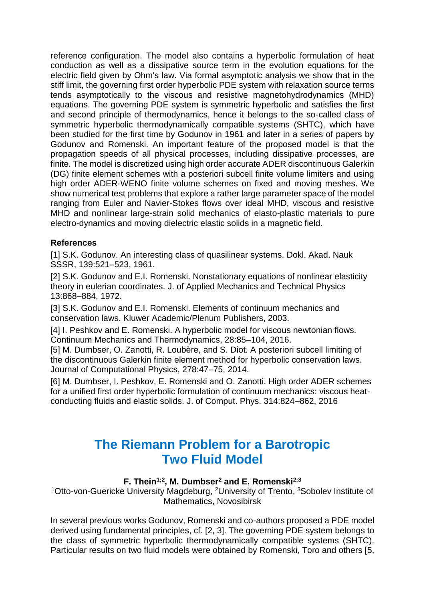reference configuration. The model also contains a hyperbolic formulation of heat conduction as well as a dissipative source term in the evolution equations for the electric field given by Ohm's law. Via formal asymptotic analysis we show that in the stiff limit, the governing first order hyperbolic PDE system with relaxation source terms tends asymptotically to the viscous and resistive magnetohydrodynamics (MHD) equations. The governing PDE system is symmetric hyperbolic and satisfies the first and second principle of thermodynamics, hence it belongs to the so-called class of symmetric hyperbolic thermodynamically compatible systems (SHTC), which have been studied for the first time by Godunov in 1961 and later in a series of papers by Godunov and Romenski. An important feature of the proposed model is that the propagation speeds of all physical processes, including dissipative processes, are finite. The model is discretized using high order accurate ADER discontinuous Galerkin (DG) finite element schemes with a posteriori subcell finite volume limiters and using high order ADER-WENO finite volume schemes on fixed and moving meshes. We show numerical test problems that explore a rather large parameter space of the model ranging from Euler and Navier-Stokes flows over ideal MHD, viscous and resistive MHD and nonlinear large-strain solid mechanics of elasto-plastic materials to pure electro-dynamics and moving dielectric elastic solids in a magnetic field.

### **References**

[1] S.K. Godunov. An interesting class of quasilinear systems. Dokl. Akad. Nauk SSSR, 139:521–523, 1961.

[2] S.K. Godunov and E.I. Romenski. Nonstationary equations of nonlinear elasticity theory in eulerian coordinates. J. of Applied Mechanics and Technical Physics 13:868–884, 1972.

[3] S.K. Godunov and E.I. Romenski. Elements of continuum mechanics and conservation laws. Kluwer Academic/Plenum Publishers, 2003.

[4] I. Peshkov and E. Romenski. A hyperbolic model for viscous newtonian flows. Continuum Mechanics and Thermodynamics, 28:85–104, 2016.

[5] M. Dumbser, O. Zanotti, R. Loubère, and S. Diot. A posteriori subcell limiting of the discontinuous Galerkin finite element method for hyperbolic conservation laws. Journal of Computational Physics, 278:47–75, 2014.

[6] M. Dumbser, I. Peshkov, E. Romenski and O. Zanotti. High order ADER schemes for a unified first order hyperbolic formulation of continuum mechanics: viscous heatconducting fluids and elastic solids. J. of Comput. Phys. 314:824–862, 2016

# **The Riemann Problem for a Barotropic Two Fluid Model**

### **F. Thein1;2, M. Dumbser<sup>2</sup> and E. Romenski2;3**

<sup>1</sup>Otto-von-Guericke University Magdeburg, <sup>2</sup>University of Trento, <sup>3</sup>Sobolev Institute of Mathematics, Novosibirsk

In several previous works Godunov, Romenski and co-authors proposed a PDE model derived using fundamental principles, cf. [2, 3]. The governing PDE system belongs to the class of symmetric hyperbolic thermodynamically compatible systems (SHTC). Particular results on two fluid models were obtained by Romenski, Toro and others [5,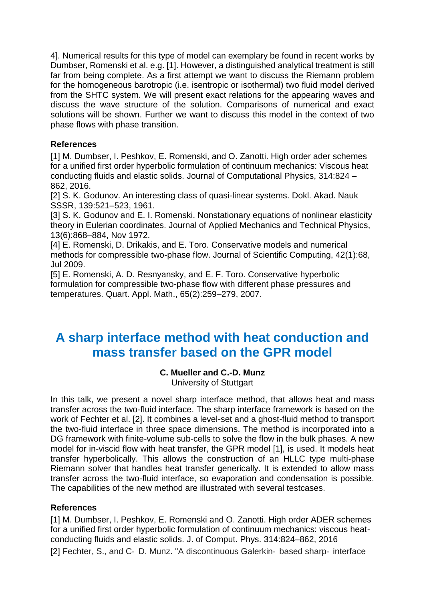4]. Numerical results for this type of model can exemplary be found in recent works by Dumbser, Romenski et al. e.g. [1]. However, a distinguished analytical treatment is still far from being complete. As a first attempt we want to discuss the Riemann problem for the homogeneous barotropic (i.e. isentropic or isothermal) two fluid model derived from the SHTC system. We will present exact relations for the appearing waves and discuss the wave structure of the solution. Comparisons of numerical and exact solutions will be shown. Further we want to discuss this model in the context of two phase flows with phase transition.

### **References**

[1] M. Dumbser, I. Peshkov, E. Romenski, and O. Zanotti. High order ader schemes for a unified first order hyperbolic formulation of continuum mechanics: Viscous heat conducting fluids and elastic solids. Journal of Computational Physics, 314:824 – 862, 2016.

[2] S. K. Godunov. An interesting class of quasi-linear systems. Dokl. Akad. Nauk SSSR, 139:521–523, 1961.

[3] S. K. Godunov and E. I. Romenski. Nonstationary equations of nonlinear elasticity theory in Eulerian coordinates. Journal of Applied Mechanics and Technical Physics, 13(6):868–884, Nov 1972.

[4] E. Romenski, D. Drikakis, and E. Toro. Conservative models and numerical methods for compressible two-phase flow. Journal of Scientific Computing, 42(1):68, Jul 2009.

[5] E. Romenski, A. D. Resnyansky, and E. F. Toro. Conservative hyperbolic formulation for compressible two-phase flow with different phase pressures and temperatures. Quart. Appl. Math., 65(2):259–279, 2007.

# **A sharp interface method with heat conduction and mass transfer based on the GPR model**

### **C. Mueller and C.-D. Munz**

University of Stuttgart

In this talk, we present a novel sharp interface method, that allows heat and mass transfer across the two-fluid interface. The sharp interface framework is based on the work of Fechter et al. [2]. It combines a level-set and a ghost-fluid method to transport the two-fluid interface in three space dimensions. The method is incorporated into a DG framework with finite-volume sub-cells to solve the flow in the bulk phases. A new model for in-viscid flow with heat transfer, the GPR model [1], is used. It models heat transfer hyperbolically. This allows the construction of an HLLC type multi-phase Riemann solver that handles heat transfer generically. It is extended to allow mass transfer across the two-fluid interface, so evaporation and condensation is possible. The capabilities of the new method are illustrated with several testcases.

### **References**

[1] M. Dumbser, I. Peshkov, E. Romenski and O. Zanotti. High order ADER schemes for a unified first order hyperbolic formulation of continuum mechanics: viscous heatconducting fluids and elastic solids. J. of Comput. Phys. 314:824–862, 2016

[2] Fechter, S., and C‐ D. Munz. "A discontinuous Galerkin‐ based sharp‐ interface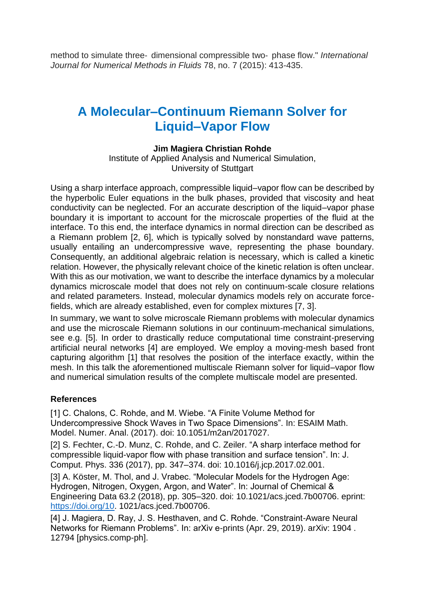method to simulate three‐ dimensional compressible two‐ phase flow." *International Journal for Numerical Methods in Fluids* 78, no. 7 (2015): 413-435.

# **A Molecular–Continuum Riemann Solver for Liquid–Vapor Flow**

### **Jim Magiera Christian Rohde**

Institute of Applied Analysis and Numerical Simulation, University of Stuttgart

Using a sharp interface approach, compressible liquid–vapor flow can be described by the hyperbolic Euler equations in the bulk phases, provided that viscosity and heat conductivity can be neglected. For an accurate description of the liquid–vapor phase boundary it is important to account for the microscale properties of the fluid at the interface. To this end, the interface dynamics in normal direction can be described as a Riemann problem [2, 6], which is typically solved by nonstandard wave patterns, usually entailing an undercompressive wave, representing the phase boundary. Consequently, an additional algebraic relation is necessary, which is called a kinetic relation. However, the physically relevant choice of the kinetic relation is often unclear. With this as our motivation, we want to describe the interface dynamics by a molecular dynamics microscale model that does not rely on continuum-scale closure relations and related parameters. Instead, molecular dynamics models rely on accurate forcefields, which are already established, even for complex mixtures [7, 3].

In summary, we want to solve microscale Riemann problems with molecular dynamics and use the microscale Riemann solutions in our continuum-mechanical simulations, see e.g. [5]. In order to drastically reduce computational time constraint-preserving artificial neural networks [4] are employed. We employ a moving-mesh based front capturing algorithm [1] that resolves the position of the interface exactly, within the mesh. In this talk the aforementioned multiscale Riemann solver for liquid–vapor flow and numerical simulation results of the complete multiscale model are presented.

#### **References**

[1] C. Chalons, C. Rohde, and M. Wiebe. "A Finite Volume Method for Undercompressive Shock Waves in Two Space Dimensions". In: ESAIM Math. Model. Numer. Anal. (2017). doi: 10.1051/m2an/2017027.

[2] S. Fechter, C.-D. Munz, C. Rohde, and C. Zeiler. "A sharp interface method for compressible liquid-vapor flow with phase transition and surface tension". In: J. Comput. Phys. 336 (2017), pp. 347–374. doi: 10.1016/j.jcp.2017.02.001.

[3] A. Köster, M. Thol, and J. Vrabec. "Molecular Models for the Hydrogen Age: Hydrogen, Nitrogen, Oxygen, Argon, and Water". In: Journal of Chemical & Engineering Data 63.2 (2018), pp. 305–320. doi: 10.1021/acs.jced.7b00706. eprint: [https://doi.org/10.](https://doi.org/10) 1021/acs.jced.7b00706.

[4] J. Magiera, D. Ray, J. S. Hesthaven, and C. Rohde. "Constraint-Aware Neural Networks for Riemann Problems". In: arXiv e-prints (Apr. 29, 2019). arXiv: 1904 . 12794 [physics.comp-ph].